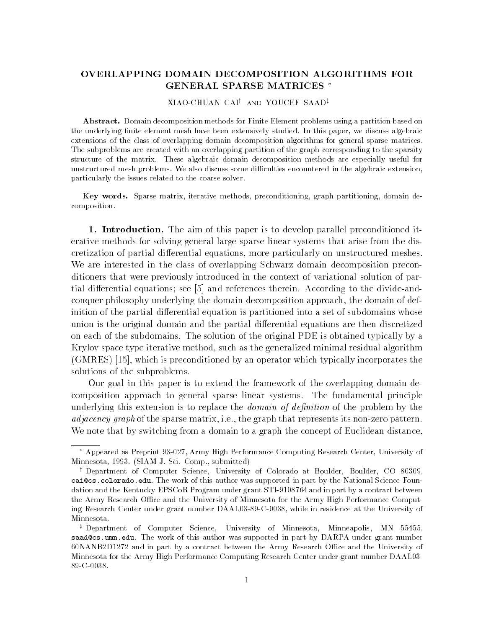# OVERLAPPING DOMAIN DECOMPOSITION ALGORITHMS FOR GENERAL SPARSE MATRICES

XIAO-CHUAN CAI<sup>†</sup> AND YOUCEF SAAD<sup>‡</sup>

Abstract. Domain decomposition methods for Finite Element problems using a partition based on the underlying nite element mesh have been extensively studied- In this paper we discuss algebraic extensions of the class of overlapping domain decomposition algorithms for general sparse matrices-The subproblems are created with an overlapping partition of the graph corresponding to the sparsity structure of the matrix- These algebraic domain decomposition methods are especially useful for unstructured mesh problems-discuss some discuss some discuss some discuss some discussion and algebraic extension particularly the issues related to the coarse solver-

Key words. Sparse matrix, iterative methods, preconditioning, graph partitioning, domain decomposition.

1. Introduction. The aim of this paper is to develop parallel preconditioned iterative methods for solving general large sparse linear systems that arise from the dis cretization of partial dierential equations- more particularly on unstructured meshes We are interested in the class of overlapping Schwarz domain decomposition precon ditioners that were previously introduced in the context of variational solution of par tial differential equations; see  $[5]$  and references therein. According to the divide-andconquer philosophy underlying the domain decomposition approach- the domain of def inition of the partial differential equation is partitioned into a set of subdomains whose union is the original domain and the partial differential equations are then discretized on each of the subdomains. The solution of the original PDE is obtained typically by a Krylov space type iterative method- such as the generalized minimal residual algorithm  $\mathcal{N}$  and is preconditioned by an operator which typically incorporates the state of  $\mathcal{N}$ solutions of the subproblems.

Our goal in this paper is to extend the framework of the overlapping domain de composition approach to general sparse linear systems. The fundamental principle underlying this extension is to replace the *domain of definition* of the problem by the adjacency graph of the sparse matrix- ie- the graph that represents its nonzero pattern We note that by switching from a domain to a graph the concept of Euclidean distance,

Appeared as Preprint 35-027, Army High Performance Computing Research Center, University of  $\blacksquare$  submitted by the submitted by  $\blacksquare$  submitted by  $\blacksquare$ 

Department of Computer Science, University of Colorado at Boulder, Boulder, CO 60509. caicscoloradoedu- The work of this author was supported in part by the National Science Foun  $\mathbf{d}$  and in part by a contract between  $\mathbf{d}$ the Army Research Office and the University of Minnesota for the Army High Performance Computing Research Center under grant number DAAL03-89-C-0038, while in residence at the University of Minnesota.

r Department of Computer Science, University of Minnesota, Minneapolis, MIN -59455. sameris cameris authorities are was supported in part by DARPA under grant number of the NANBD and in part by a contract between the Army Research Oce and the University of Minnesota for the Army High Performance Computing Research Center under grant number DAAL 89-C-0038.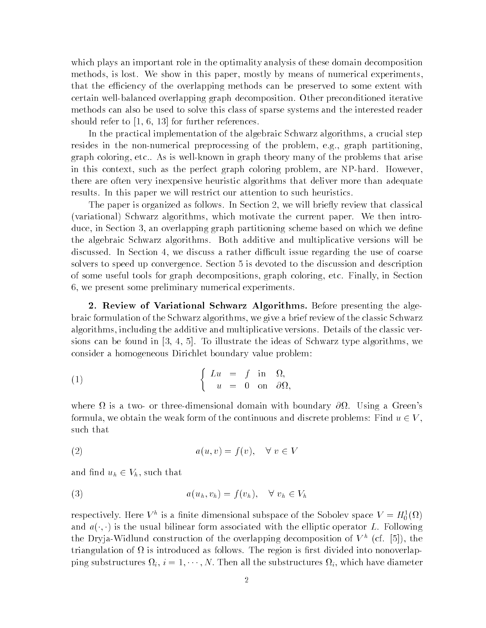which plays an important role in the optimality analysis of these domain decomposition methods- is lost We show in this paper- mostly by means of numerical experimentsthat the efficiency of the overlapping methods can be preserved to some extent with certain well-balanced overlapping graph decomposition. Other preconditioned iterative methods can also be used to solve this class of sparse systems and the interested reader should refer to the further reference in the further references and the further references of the further refer

In the practical implementation of the algebraic Schwarz algorithms- a crucial step resides in the nonnumerical preprocessing of the problem- eg- graph partitioningetch coloring-theory many of the problems that are the problems that are the problems that are the problems that arises that are the problems that are the problems that are the problems that are the problems that are the p in this context, color are the perfect graph coloring problem, are the more of the state  $\sim$ there are often very inexpensive heuristic algorithms that deliver more than adequate results In this paper we will restrict our attention to such heuristics

The paper is organized as follows In Section - we will briey review that classical variational control of the current paper Schwarz algorithms-then introduced by the current paper We then inter duce, in Section C. Case of Section particles partitioning scheme which we denote the density the algebraic Schwarz algorithms. Both additive and multiplicative versions will be discussed in Section - we discuss a rather weeks and the use  $\mathcal{A}$  are not discussed the use of coarses and solvers to speed up convergence. Section 5 is devoted to the discussion and description of some useful tools for graph decompositions-in  $\mathbb{R}$ - we present some preliminary numerical experiments

- Review of Variational Schwarz Algorithms Before presenting the alge braic formulation of the Schwarz algorithms-  $\mathbf{y}$  is a give a brief review of the classic Schwarz control algorithms- including the additive and multiplicative versions Details of the classic versions  $\alpha$ sions can be found in the ideas of the interest the ideas of schwarz type algorithms, we consider a homogeneous Dirichlet boundary value problem

(1) 
$$
\begin{cases} Lu = f \text{ in } \Omega, \\ u = 0 \text{ on } \partial \Omega, \end{cases}
$$

where  $\Omega$  is a two- or three-dimensional domain with boundary  $\partial\Omega$ . Using a Green's formula, we obtain the weak form of the continuous and discrete problems: Find  $u \in V,$ such that

$$
(2) \t a(u,v) = f(v), \quad \forall \ v \in V
$$

and find  $u_h \in V_h$ , such that

(3) 
$$
a(u_h, v_h) = f(v_h), \quad \forall \ v_h \in V_h
$$

respectively. Here  $V^+$  is a nifile dimensional subspace of the Sobolev space  $V = H_0^-(\Omega)$ and  $u(\cdot, \cdot)$  is the usual bilinear form associated with the emptic operator  $L$ . Following the Dryja-Widlund construction of the overlapping decomposition of  $V^-(\text{CI.~}|\mathfrak{I}|)$ , the triangulation of  $\Omega$  is introduced as follows. The region is first divided into nonoverlapping substructures  $u_i, i = 1, \cdots, N$ . I hen all the substructures  $u_i$ , which have diameter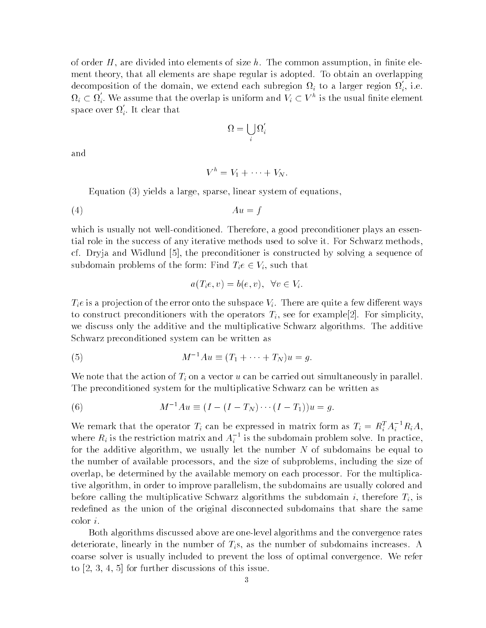of of divided into an areas of size the common assumption assumption-divided in the common assumptionment theory- that all elements are shape regular is adopted To obtain an overlapping decomposition of the domain, we extend each subregion  $\Omega_i$  to a larger region  $\Omega_i$ , i.e.  $\Omega_i \subset \Omega_i$ . We assume that the overlap is uniform and  $V_i \subset V^n$  is the usual finite element space over  $\Omega_i.$  It clear that

$$
\Omega = \bigcup_i \Omega_i'
$$

and

$$
V^h=V_1+\cdots+V_N.
$$

Equation 
 yields a large- sparse- linear system of equations-

$$
(4) \t\t\t Au = f
$$

which is usually note well conditioned Therefore-Therefore, preconditioner plays and the condition tial role in the success of any iterative methods used to solve it. For Schwarz methods, car Dryja and Widelund - the precisioner is constructed by solving a sequence of subdomain problems of the form: Find  $T_ie \in V_i$ , such that

$$
a(T_i e, v) = b(e, v), \forall v \in V_i.
$$

 $T_i e$  is a projection of the error onto the subspace  $V_i$ . There are quite a few different ways to construct preconditioners with the operators  $\mathbb{N}$  for example  $\mathbb{N}$  simplicity-simplicity-simplicity-simplicity-simplicity-simplicity-simplicity-simplicity-simplicity-simplicity-simplicity-simplicity-simplicitywe discuss only the additive and the multiplicative Schwarz algorithms. The additive Schwarz preconditioned system can be written as

(5) 
$$
M^{-1}Au \equiv (T_1 + \cdots + T_N)u = g.
$$

We note that the action of  $T_i$  on a vector u can be carried out simultaneously in parallel. The preconditioned system for the multiplicative Schwarz can be written as

(6) 
$$
M^{-1}Au \equiv (I - (I - T_N) \cdots (I - T_1))u = g.
$$

We remark that the operator  $T_i$  can be expressed in matrix form as  $T_i = R_i^T A_i^T R_i A$ , where  $R_i$  is the restriction matrix and  $A_i$  " is the subdomain problem solve. In practice, for the additive algorithm- we usually let the number N of subdomains be equal to the number of available processors- and the size of subproblems- including the size of overence available memory on available memory on each processor For the multiplication tive algorithm- in order to improve parallelism- the subdomains are usually colored and before calling the multiplicative Schwarz algorithms the subdomain is subdomain if  $\mathbb{R}^n$ redefined as the union of the original disconnected subdomains that share the same  $color\ i$ .

Both algorithms discussed above are onelevel algorithms and the convergence rates deteriorate-iorate-iorate-iorate-iorate-iorate-iorate-iorate-iorate-iorate-iorate-iorate-iorate-iorate-ioratecoarse solver is usually included to prevent the loss of optimal convergence We refer to - 
- - for further discussions of this issue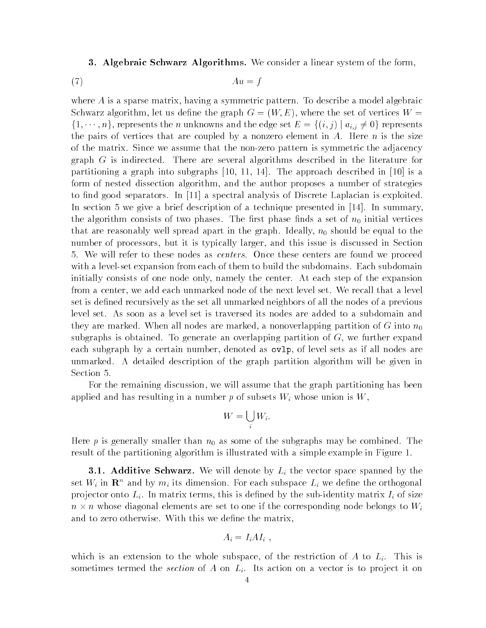**3. Algebraic Schwarz Algorithms.** We consider a linear system of the form,

$$
(7) \t\t Au = f
$$

where  $\mathbf{A}$  is a symmetric pattern To describe a model algebraic pattern To describe a model algebraic and Schwarz algorithm- let us dene the graph G W E - where the set of vertices W  $\{1,\dots,n\},$  represents the n unknowns and the edge set  $E = \{(i,j) \mid a_{i,j} \neq 0\}$  represents the pairs of vertices that are coupled by a nonzero element in A. Here  $n$  is the size of the matrix Since we assume that the nonzero pattern is symmetric the adjacency graph  $G$  is indirected. There are several algorithms described in the literature for partition in graphs into subgraphs property and the substitution and in the property of  $\alpha$ form of nested dissection algorithm- and the author proposes a number of strategies to nd good separators In a spectral analysis of Discrete Laplacian is exploited In section we give a brief description of a technique presented in In summarythe algorithm consists of two phases. The first phase finds a set of  $n_0$  initial vertices that are reasonably well spread apart in the graph Ideally-Well spread and the spread to the top number of processors-but it is typically larger-this issue is discussed in Section 2.1 and this issue is discussed in Section 2.1 and the section of the section 2.1 and the section 3.1 and the section 3.1 and the section 3 5. We will refer to these nodes as *centers*. Once these centers are found we proceed with a level-set expansion from each of them to build the subdomains. Each subdomain initially consists of one node only- namely the center At each step of the expansion from a center-deach unmarked node of the next level set We recall that a level set We recall that a level set set is defined recursively as the set all unmarked neighbors of all the nodes of a previous level set As soon as a level set is traversed its nodes are added to a subdomain and they are marked When all nodes are marked- a nonoverlapping partition of <sup>G</sup> into n subgraphs is obtained To generate an overlapping partition of G- we further expand each subgraph by a certain number-of level sets as if  $\mathbb{P}^1$  as if all not as if all nodes as if all  $\mathbb{P}^1$ unmarked. A detailed description of the graph partition algorithm will be given in Section 5.

For the remaining discussion- we will assume that the graph partitioning has been applied and has resulting in a number p of subsets  $W_i$  whose union is  $W_i$ .

$$
W = \bigcup_i W_i.
$$

Here p is generally smaller than  $n_0$  as some of the subgraphs may be combined. The result of the partitioning algorithm is interested with a simple in Figure in Figure in Figure

**3.1. Additive Schwarz.** We will denote by  $L_i$  the vector space spanned by the set  $W_i$  in  $\mathbf{R}^n$  and by  $m_i$  its dimension. For each subspace  $L_i$  we define the orthogonal pro jector onto Li In matrix terms- this is dened by the subidentity matrix Ii of size  $n \times n$  whose diagonal elements are set to one if the corresponding node belongs to  $W_i$ and to zero otherwise. With this we define the matrix,

$$
A_i = I_i A I_i \; , \quad
$$

which is an extension to the whole subspace  $\mathbb{R}^n$  is the following to the set  $\mathbb{R}^n$  of  $\mathbb{R}^n$ sometimes termed the *section* of A on  $L_i$ . Its action on a vector is to project it on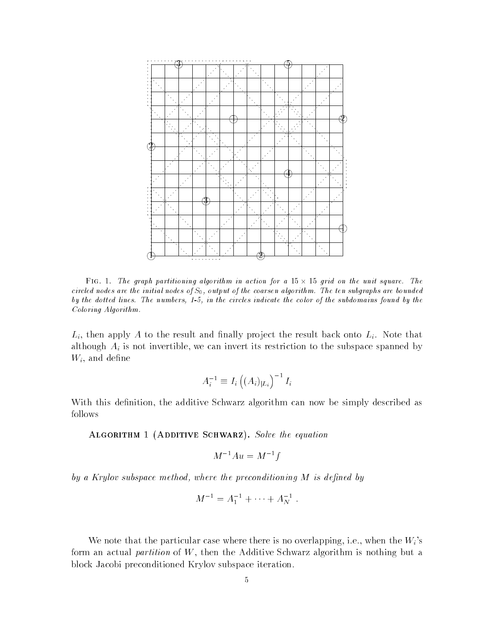

 $\tt{F1G.1.}$  The graph partitioning algorithm in action for a  $\tt{15} \times \t{15}$  grid on the unit square. The circled nodes are the initial nodes of  $S_0$ , output of the coarsen algorithm. The ten subgraphs are bounded the dotted lines. The numbers - in the circles indicate the subdomains found by the color of the subdomains of Coloring Algorithm

Li- then apply A to the result and nally pro ject the result back onto Li Note that although Air is not invertible and its restriction to the subspace space space space space space spanned by th with a decree of the second control of the second control of the second control of the second control of the second control of the second control of the second control of the second control of the second control of the sec

$$
A_i^{-1}\equiv I_i\left((A_i)_{|L_i}\right)^{-1}I_i
$$

with the additional this denities algorithm can now be simply described as  $\alpha$ follows

Algorithm  $A$  and  $A$  and  $A$  and  $A$  and  $A$  and  $A$  and  $A$  and  $A$  and  $A$  and  $A$  and  $A$  and  $A$  and  $A$  and  $A$  and  $A$  and  $A$  and  $A$  and  $A$  and  $A$  and  $A$  and  $A$  and  $A$  and  $A$  and  $A$  and  $A$  and  $A$  and  $A$ 

$$
M^{-1}Au = M^{-1}f
$$

by a Krylov subspace method, where the preconditioning  $M$  is defined by

$$
M^{-1} = A_1^{-1} + \cdots + A_N^{-1} \ .
$$

when the the the particular case where the particular case when the Secondary Case is not the Wisconsingform an actual partition of W- then the Additive Schwarz algorithm is nothing but a block Jacobi preconditioned Krylov subspace iteration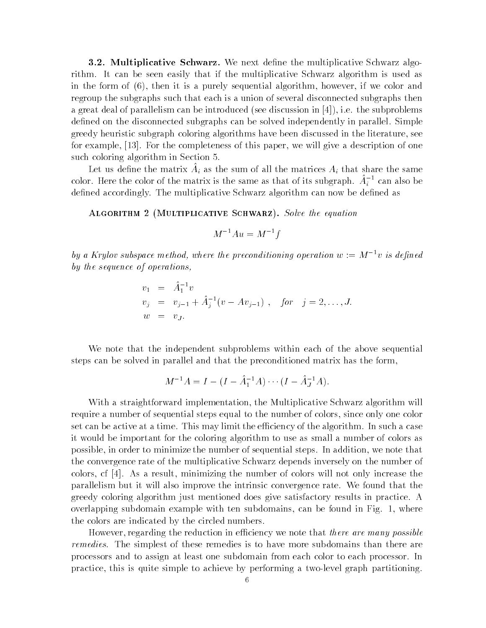- Multiplicative Schwarz We next dene the multiplicative Schwarz algo rithm. It can be seen easily that if the multiplicative Schwarz algorithm is used as in the form of  $\{r\}$  then it is a purely style and it  $\bigwedge$  it is a purely set  $\{r\}$ regroup the subgraphs such that each is a union of several disconnected subgraphs then a great deal of parallelism can be interested see discussion in  $\mathbb{R}^n$  . If  $\mathbb{R}^n$ defined on the disconnected subgraphs can be solved independently in parallel. Simple greedy heuristic subgraph coloring algorithms have been discussed in the literature- see for example- For the completeness of this paper- we will give a description of one such coloring algorithm in Section 5.

Let us define the matrix  $A_i$  as the sum of an the matrices  $A_i$  that share the same color. Here the color of the matrix is the same as that of its subgraph.  $A_i$  " can also be defined accordingly. The multiplicative Schwarz algorithm can now be defined as

Algorithm  $M$ 

$$
M^{-1}Au = M^{-1}f
$$

by a Krylov subspace method, where the preconditioning operation  $w := M^{-1}v$  is defined by the sequence of operations

$$
v_1 = \hat{A}_1^{-1} v
$$
  
\n
$$
v_j = v_{j-1} + \hat{A}_j^{-1} (v - A v_{j-1}), \quad \text{for} \quad j = 2, ..., J.
$$
  
\n
$$
w = v_J.
$$

We note that the independent subproblems within each of the above sequential steps can be solved in parallel and that the preconditioned matrix has the form-

$$
M^{-1}A = I - (I - \hat{A}_1^{-1}A) \cdots (I - \hat{A}_J^{-1}A).
$$

With a straightforward implementation- the Multiplicative Schwarz algorithm will require a number of sequential steps equal to the number of colors- since only one color set can be active at a time. This may limit the efficiency of the algorithm. In such a case it would be important for the coloring algorithm to use as small a number of colors as possible-to minimize the number of sequential steps In additional steps I additional the number of the steps I the convergence rate of the multiplicative Schwarz depends inversely on the number of colors- and also colors with the number of colors will not only increase the number of  $\alpha$ parallelism but it will also improve the intrinsic convergence rate We found that the greedy coloring algorithm just mentioned does give satisfactory results in practice A overlapping subdomain example with ten subdomains- can be found in Fig - where the colors are indicated by the circled numbers

However- regarding the reduction in eciency we note that there are many possible remedies. The simplest of these remedies is to have more subdomains than there are processors and to assign at least one subdomain from each color to each processor In practice- this is quite simple to achieve by performing a twolevel graph partitioning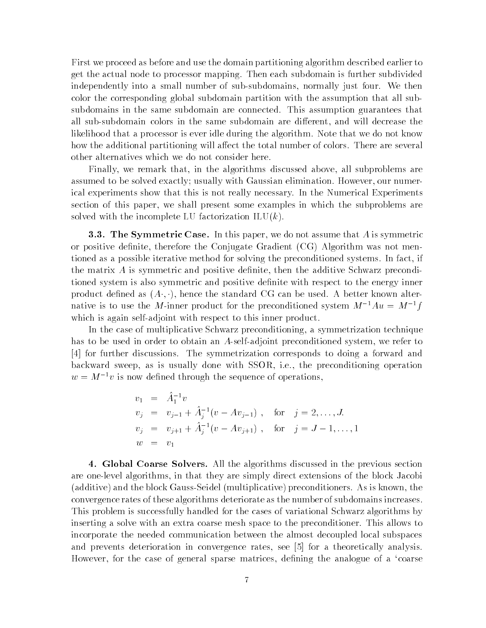First we proceed as before and use the domain partitioning algorithm described earlier to get the actual node to processor mapping. Then each subdomain is further subdivided independently into a small number of subsubdomains- normally just four We then color the corresponding global subdomain partition with the assumption that all sub subdomains in the same subdomain are connected. This assumption guarantees that all subsubdomain colors in the same subdomain are dierent- and will decrease the likelihood that a processor is ever idle during the algorithm. Note that we do not know how the additional partitioning will affect the total number of colors. There are several other alternatives which we do not consider here

Finally- we remark that- in the algorithms discussed above- all subproblems are assumed to be solved exactly usually with Gaussian elimination However- our numer ical experiments show that this is not really necessary In the Numerical Experiments section of this paper- we shall present some examples in which the subproblems are solved with the incomplete LU factorization  $\text{ILU}(k)$ .

. The Symmetric Case In this paper-in the symmetric case is symmetric. or positive denimite, interesting the conjugate craticism was not mented the Conjugate Constantinople tioned as a possible iterative method for solving the preconditioned systems In fact- if the matrix A is symmetric and positive denite- then the additive Schwarz precondi tioned system is also symmetric and positive denite with respect to the energy inner product denned as  $(A^*, \cdot)$ , nence the standard  $\cup$ g can be used. A better known alternative is to use the M-inner product for the preconditioned system  $M^{-1}Au = M^{-1}f$ which is again self-adjoint with respect to this inner product.

In the case of multiplicative Schwarz preconditioning- a symmetrization technique has to be used in order to obtain an Aselfadjoint preconditioned system- we refer to [4] for further discussions. The symmetrization corresponds to doing a forward and backward sweep-p- in the minimal contract with SSOR-C and the preconditioning operations of  $w = M^{-1}v$  is now defined through the sequence of operations,

$$
v_1 = \hat{A}_1^{-1} v
$$
  
\n
$$
v_j = v_{j-1} + \hat{A}_j^{-1} (v - A v_{j-1}), \text{ for } j = 2, ..., J.
$$
  
\n
$$
v_j = v_{j+1} + \hat{A}_j^{-1} (v - A v_{j+1}), \text{ for } j = J - 1, ..., 1
$$
  
\n
$$
w = v_1
$$

4. Global Coarse Solvers. All the algorithms discussed in the previous section are oneles that the thermody are their theory direct extensions of the block Jacobian of the block Jacobian D additive  $\mathbf x$  and the block GaussSeidel multiplicative  $\mathbf x$  is known-the conditioners As is known-the conditioners as is knownconvergence rates of these algorithms deteriorate as the number of subdomains increases This problem is successfully handled for the cases of variational Schwarz algorithms by inserting a solve with an extra coarse mesh space to the preconditioner. This allows to incorporate the needed communication between the almost decoupled local subspaces and prevents deterioration in convergence rates- see for a theoretically analysis However- for the case of general sparse matrices- dening the analogue of a coarse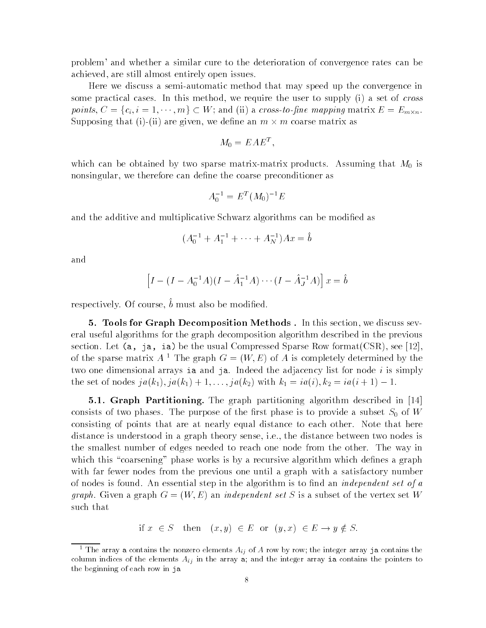problem' and whether a similar cure to the deterioration of convergence rates can be are still almost entirely open issues in the still almost the state of the state of the state of the state of t

Here we discuss a semi-automatic method that may speed up the convergence in some practical cases In this method-we require the user to supply in the user to supply in the user to set of c points,  $C = \{c_i, i = 1, \cdots, m\} \subset W$ ; and (ii) a cross-to-fine mapping matrix  $E = E_{m \times n}$ . Supposing that (i)-(ii) are given, we define an  $m \times m$  coarse matrix as

$$
M_0 = E A E^T,
$$

which can be obtained by two sparse matrix-matrix products. Assuming that  $M_0$  is nonsingular-therefore can denote can denote can denote can denote can denote can denote can denote coarse prec

$$
A_0^{-1} = E^T (M_0)^{-1} E
$$

and the additive and multiplicative Schwarz algorithms can be modified as

$$
(A_0^{-1} + A_1^{-1} + \dots + A_N^{-1})Ax = \hat{b}
$$

and

$$
\[I - (I - A_0^{-1}A)(I - \hat{A}_1^{-1}A) \cdots (I - \hat{A}_J^{-1}A)\]x = \hat{b}
$$

respectively. Of course, a must also be modified.

 Tools for Graph Decomposition Methods In this section- we discuss sev eral useful algorithms for the graph decomposition algorithm described in the previous section, her (w) in any settle women compressed sparse rest, format correlation of the sparse matrix  $A^{-1}$  The graph  $G = (W, E)$  of A is completely determined by the two one dimensional arrays ia and ja. Indeed the adjacency list for node  $i$  is simply the set of hours  $\int u(h_1), \int u(h_1) + 1, \ldots, \int u(h_2)$  with  $h_1 = \iota u(t), h_2 = \iota u(t+1) - 1$ .

 $P$ artitioning The graph partitioning algorithm descriptioning algorithm descriptioning algorithm described in the graph partition  $P$ consists of two phases. The purpose of the first phase is to provide a subset  $S_0$  of W consisting of points that are at nearly equal distance to each other. Note that here distance is understood in a graph theory sense- ie- the distance between two nodes is the smallest number of edges needed to reach one node from the other. The way in which this "coarsening" phase works is by a recursive algorithm which defines a graph with far fewer nodes from the previous one until a graph with a satisfactory number of nodes is found. An essential step in the algorithm is to find an *independent set of a* graph. Given a graph  $G = (W, E)$  an independent set S is a subset of the vertex set W such that

if  $x \in S$  then  $(x, y) \in E$  or  $(y, x) \in E \rightarrow y \notin S$ .

The array a contains the nonzero elements  $A_{ij}$  of  $A$  row by row, the integer array ja contains the  $\,$ column indices of the elements  $A_{ij}$  in the array a; and the integer array ia contains the pointers to the beginning of each row in ja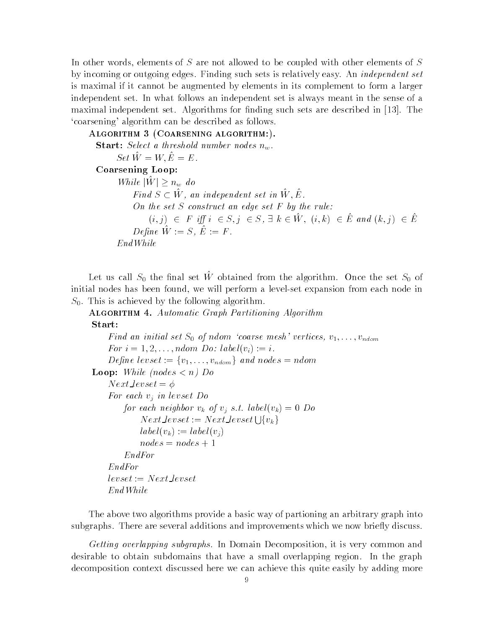. elements of S are not allowed to be coupled with other to be coupled with other elements of S are the C are no by incoming or outgoing edges. Finding such sets is relatively easy. An *independent set* is maximal if it cannot be augmented by elements in its complement to form a larger independent set In what follows an independent set is always meant in the sense of a maximal independent set Algorithms for nding such sets are described in The 'coarsening' algorithm can be described as follows.

Algorithm  $\Lambda$  algorithm algorithm algorithm algorithm algorithm algorithm algorithm algorithm algorithm algorithm **Start:** Select a threshold number nodes  $n_w$ . Set  $\hat{W} = W, \hat{E} = E$ . Coarsening Loop While  $|W| \geq n_w$  do Find  $S \subset W$ , an independent set in W, E. On the set  $S$  construct an edge set  $F$  by the rule:  $(i, j) \in F$  iff  $i \in S, j \in S$ ,  $\exists k \in W$ ,  $(i, k) \in E$  and  $(k, j) \in E$  $D$  c  $\mu$  a  $\mu$  a  $\mu$  a  $\mu$  a  $\mu$  a  $\mu$  a  $\mu$  a  $\mu$  a  $\mu$  a  $\mu$  a  $\mu$  a  $\mu$  a  $\mu$  a  $\mu$  a  $\mu$  a  $\mu$  a  $\mu$  a  $\mu$  a  $\mu$  a  $\mu$  a  $\mu$  a  $\mu$  a  $\mu$  a  $\mu$  a  $\mu$  a  $\mu$  a  $\mu$  a  $\mu$  a  $\mu$  a  $\mu$  a  $\mu$  EndWhile

Let us can  $\omega_0$  the nual set W obtained from the algorithm. Once the set  $\omega_0$  or itial nodes has been found-been found-performance in the case of the performance in the second the complete in  $S_0$ . This is achieved by the following algorithm.

```
Algorithm  Automatic Graph Partitioning Algorithm
Start:
```

```
Find an initial set S of ndom coarse mesh vertices v-
-
-
vndom
    For i  
 -
-
-
 ndom Do labelvi	  i Define levset := \{v_1, \ldots, v_{ndom}\}\and nodes = ndom
Loop: While (nodes \lt n) Do
    Next\_levelset = \phiFor each v_j in levset Do
        for each neighbor v_k of v_j s.t. label(v_k) = 0 Do
            Next {\it Levset} := Next {\it Levset} \bigcup \{v_k\}label(v_k) := label(v_j)nodes = nodes + 1EndForEndFor
   levelset := Next\_levelsetEndWhile
```
The above two algorithms provide a basic way of partioning an arbitrary graph into subgraphs. There are several additions and improvements which we now briefly discuss.

Getting overlapping subgraphs In Domain Decomposition- it is very common and desirable to obtain subdomains that have a small overlapping region. In the graph decomposition context discussed here we can achieve this quite easily by adding more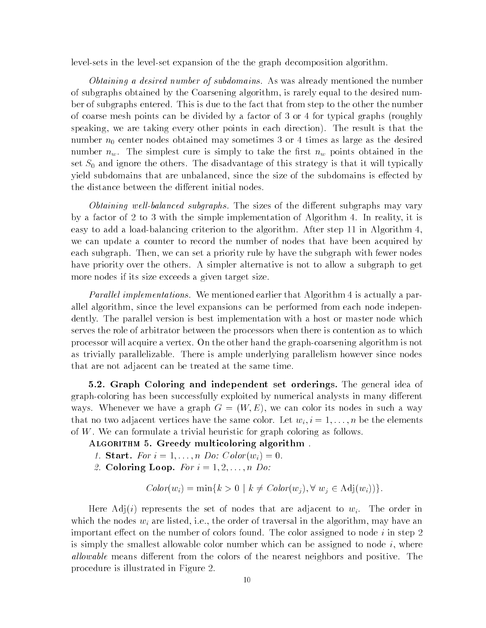levelsets in the level-set expansion of the the graph decomposition algorithm.

Obtaining a desired number of subdomains. As was already mentioned the number of subgraphs obtained by the Coarsening algorithm- is rarely equal to the desired num ber of subgraphs entered. This is due to the fact that from step to the other the number of coarse mesh points can be divided by a factor of 3 or 4 for typical graphs (roughly speaking-points in each direction of the result is that the result is that the result is that the result is that the result is that the result is that the result is that the result is that the result is that the result is number  $n_0$  center nodes obtained may sometimes 3 or 4 times as large as the desired number  $n_w$ . The simplest cure is simply to take the first  $n_w$  points obtained in the set  $S_0$  and ignore the others. The disadvantage of this strategy is that it will typically  $y$ ield subdomains that are unbalanced-subdomains is extended-subdomains is extended by  $y$ the distance between the different initial nodes.

obtaining well-then the subgraphs The substitute of the distribution  $\pi$  and  $\pi$ by a factor of to 
 with the simple implementation of Algorithm In reality- it is easy to and a load step shown and algorithm and the algorithm at the algorithm  $\mathcal{L}_1$ we can update a counter to record the number of nodes that have been acquired by each subgraph Theorem, we can set a priority rule by have the subgraph with fewer nodes the substitution of th have priority over the others. A simpler alternative is not to allow a subgraph to get more nodes if its size exceeds a given target size

*Parallel implementations.* We mentioned earlier that Algorithm 4 is actually a parallel algorithm-distributions can be performed from each node independent from each node independent from each node independent from each node independent from each node independent from each node independent from each no dently. The parallel version is best implementation with a host or master node which serves the role of arbitrator between the processors when there is contention as to which processor will acquire a vertex. On the other hand the graph-coarsening algorithm is not as trivially parallelizable. There is ample underlying parallelism however since nodes that are not adjacent can be treated at the same time

- Graph Coloring and independent set orderings The general idea of graph-coloring has been successfully exploited by numerical analysts in many different ways we have a graph  $\alpha$  graph  $\alpha$  with  $\alpha$  and  $\alpha$  in an anodes in such  $\alpha$  . We have that no two adjacent vertices have the same color Let wi i ---n be the elements of  $W$ . We can formulate a trivial heuristic for graph coloring as follows.

ALGORITHM 5. Greedy multicoloring algorithm.

- start Form in the start of the start of the start of the start of the start of the start of the start of the s
- and the coloring Loop For in the coloring term in the coloring of the coloring term in the coloring of the coloring of the coloring of the coloring of the coloring of the coloring of the coloring of the coloring of the col

$$
Color(w_i) = \min\{k > 0 \mid k \neq Color(w_j), \forall w_j \in Adj(w_i))\}.
$$

Here Adj(i) represents the set of nodes that are adjacent to  $w_i$ . The order in which the nodes with the order of traversal in the algorithm-distribution  $\mathbf{r}$ important effect on the number of colors found. The color assigned to node  $i$  in step 2 is simply the smallest allowable color number which can be assigned to node i-dependent to node i-dependent of  $\Lambda$ allowable means different from the colors of the nearest neighbors and positive. The procedure is illustrated in Figure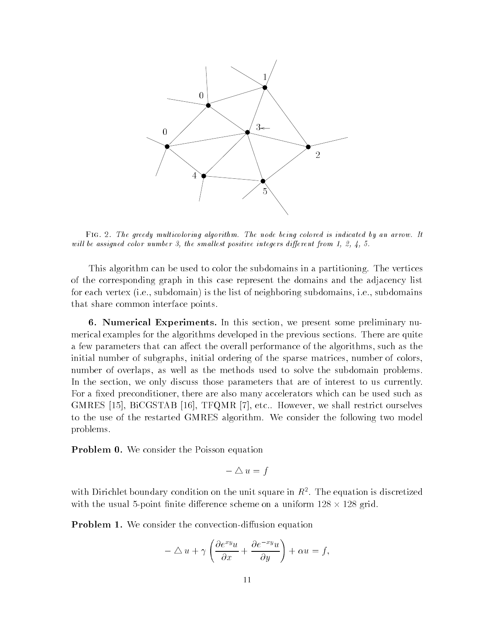

Fig -- The greedy multicoloring algorithm The node being colored is indicated by an arrow It wil later assigned color number integers die regional lest positive integers die regional lest positive intege

This algorithm can be used to color the subdomains in a partitioning. The vertices of the corresponding graph in this case represent the domains and the adjacency list for each vertex is the list of neighboring subdomains-definition  $\mathcal{U}$ that share common interface points

 Numerical Experiments In this section- we present some preliminary nu merical examples for the algorithms developed in the previous sections There are quite a few parameters that can algorithms over the overall performance of the algorithms-  $\alpha$  as the algorithmsinitial number of subgraphs-definition of the sparse matrices-sparse matrices-sparse matrices-sparse matricesnumber of overlaps- as well as the methods used to solve the subdomain problems In the section- we only discuss those parameters that are of interest to us currently For a xed preconditioner- there are also many accelerators which can be used such as , we shall restrict our state that it is a shall restrict our contract and contact a measure of the state of the to the use of the restarted GMRES algorithm. We consider the following two model problems

**Problem 0.** We consider the Poisson equation

$$
-\bigtriangleup u = f
$$

with Difficulty condition on the unit square in  $R^+$ . The equation is discretized with the usual 5-point finite difference scheme on a uniform  $128 \times 128$  grid.

**Problem 1.** We consider the convection-diffusion equation

$$
-\triangle u + \gamma \left( \frac{\partial e^{xy} u}{\partial x} + \frac{\partial e^{-xy} u}{\partial y} \right) + \alpha u = f,
$$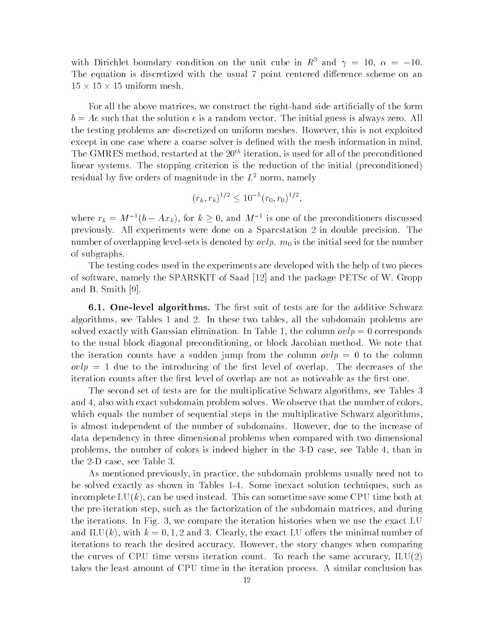with Diffenset boundary condition on the unit cube in  $R$  and  $\gamma = 10, \alpha = -10.$ The equation is discretized with the usual 7 point centered difference scheme on an  $15 \times 15 \times 15$  uniform mesh.

For all the above matrices-definition  $\mathcal{F}$  $b = Ae$  such that the solution e is a random vector. The initial guess is always zero. All the testing problems are discretized on uniform meshes However- this is not exploited except in one case where a coarse solver is defined with the mesh information in mind. I he GMRES method, restarted at the 20<sup>---</sup> iteration, is used for all of the preconditioned linear systems. The stopping criterion is the reduction of the initial (preconditioned) residual by five orders of magnitude in the  $L^+$  norm, namely

$$
(r_k, r_k)^{1/2} \le 10^{-5} (r_0, r_0)^{1/2},
$$

where  $r_k = M^{-1}(b - Ax_k)$ , for  $k \ge 0$ , and  $M^{-1}$  is one of the preconditioners discussed previously. All experiments were done on a Sparcstation 2 in double precision. The number of overlapping level-sets is denoted by  $ovlp$ .  $m_0$  is the initial seed for the number of subgraphs

The testing codes used in the experiments are developed with the help of two pieces of software-package in the SPARSKIT of Same package PETSC of Saad of W Groppe in the package PETSC of W Groppe and B. Smith  $[9]$ .

**6.1. One-level algorithms.** The first suit of tests are for the additive Schwarz algorithms- see Tables are the subdomain problems and in the subdomain problems are two tablessolved exactly with Gaussian elimination In Table - the column ovlp corresponds  $t_{\rm M}$  and  $t_{\rm M}$  are block diagonal preconditioning-we note that  $t_{\rm M}$ the iteration counts have a sudden jump from the column  $\partial v / p = 0$  to the column ovlp due to the introducing of the rst level of overlap The decreases of the iteration counts after the first level of overlap are not as noticeable as the first one.

The second set of tests are for the multiplicative Schwarz algorithms- see Tables and - also with exact subdomain problem solves We observe that the number of colors-beneficial colors-benefici which equals the number of sequential steps in the multiplicative Schwarz algorithms, is almost independent of the number of subdomains However- due to the increase of data dependency in three dimensional problems when compared with two dimensional problems-the number is indeed in the seed and the see Table - than it is indeed to the colors in the see the D case-B case-B case-B case-B case-B case-B case-B case-B case-B case-B case-B case-B case-B case-B case-B

. In the subdomain problems usually the problems usually need not to the subdomain problems usually need to to be solved exactly as shown in Tables in Tables in Tables in Tables in Tables in Tables in Tables in Tables in Tables in Tables in Tables in Tables in Tables in Tables in Tables in Tables in Tables in Tables in Tables in T incomplete LUK -  $\mathcal{N}$  -  $\mathcal{N}$  -  $\mathcal{N}$  -  $\mathcal{N}$  -  $\mathcal{N}$  -  $\mathcal{N}$  -  $\mathcal{N}$  -  $\mathcal{N}$  -  $\mathcal{N}$  -  $\mathcal{N}$  -  $\mathcal{N}$  -  $\mathcal{N}$  -  $\mathcal{N}$  -  $\mathcal{N}$  -  $\mathcal{N}$  -  $\mathcal{N}$  -  $\mathcal{N}$  -  $\mathcal{N}$  -  $\mathcal{N$ the pre-termination step-p-ment as the such as the such as the such as the such as the such a subdomain  $\pi$  $\mathbf{f}$  iterations In Fig. , we compare the iteration histories when we use the exact LU  $\mathbf{f}$ and III (1) clearly - control in the minimal number of the minimal number of the minimal number of the minimal iterations to reach the desired accuracy However- the story changes when comparing the curves of CPU times iteration counters counter the same accuracy-counter of the same  $\{ \pm \}$ takes the least amount of CPU time in the iteration process A similar conclusion has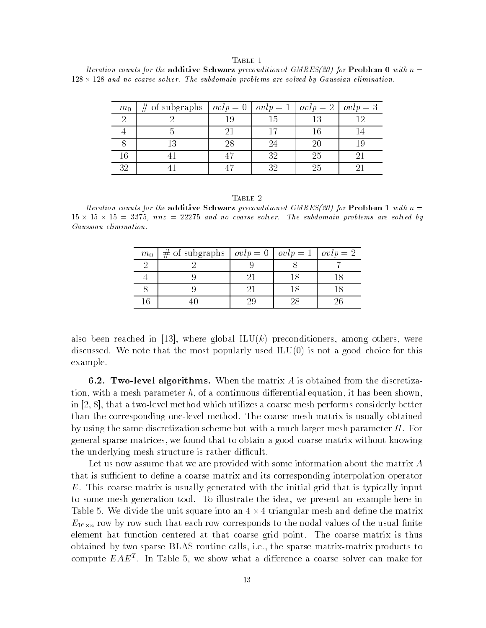# TABLE 1

Iteration counts for the addition counts for  $\mathbb{R}^n$  preconditioned GMRES $\mathbb{R}^n$ and no coarse solver The subdomaintent are subdomained by Gaussian are solved by Gaussian elimination of

| $m_0$ | of subgraphs $\vert \text{ } ovlp = 0 \vert$<br># |    |    | $volp = 1  ovlp = 2  $ | $ovlp = 3$ |
|-------|---------------------------------------------------|----|----|------------------------|------------|
|       |                                                   |    |    |                        |            |
|       |                                                   |    |    |                        |            |
|       |                                                   | 28 |    | 20                     |            |
| 16    |                                                   |    | 29 | 25                     |            |
| 32    |                                                   |    |    | 25                     |            |

#### TABLE 2

Iteration counts for the addition counts for  $\mathbb{R}^n$  preconditioned GMRES $\mathbb{R}^n$ nnaz and no coarse solver solver solver solver and solver are solved by the solver by the solves by the solve Gaussian elimination

| $m_0$ | # of subgraphs $\vert \text{ } ovlp = 0 \vert \text{ } ovlp = 1 \vert \text{ } ovlp = 2$ |  |  |
|-------|------------------------------------------------------------------------------------------|--|--|
|       |                                                                                          |  |  |
|       |                                                                                          |  |  |
|       |                                                                                          |  |  |
|       |                                                                                          |  |  |

also been reached in just, where global in the preceding in another, where  $\alpha$  is the condition discussed. We note that the most popularly used  $ILU(0)$  is not a good choice for this example

- Two level algorithms When the matrix A is obtained from the discretiza tion- it has been shown-with a mesh of a continuous dierential equation- it has been shown-shownin - that a two later which utilizes a two later method which utilizes a coarse mesh performs considerly better than the corresponding one-level method. The coarse mesh matrix is usually obtained by using the same discretization scheme but with a much larger mesh parameter  $H$ . For  $\mathcal{W}$ the underlying mesh structure is rather difficult.

Let us now assume that we are provided with some information about the matrix A that is sufficient to define a coarse matrix and its corresponding interpolation operator  $E$ . This coarse matrix is usually generated with the initial grid that is typically input to some mesh generation tool To illustrate the idea- we present an example here in Table 5. We divide the unit square into an  $4 \times 4$  triangular mesh and define the matrix  $10 \wedge b$  row such that each row corresponds to the nodal values of the usual nite  $10 \wedge b$  row corresponds to the usual nite  $10 \wedge b$ element hat function centered at that coarse grid point. The coarse matrix is thus obtained by two sparse BLAS routine calls- ie- the sparse matrixmatrix products to compute  $E A E^{\dagger}$  . In Table 5, we show what a difference a coarse solver can make for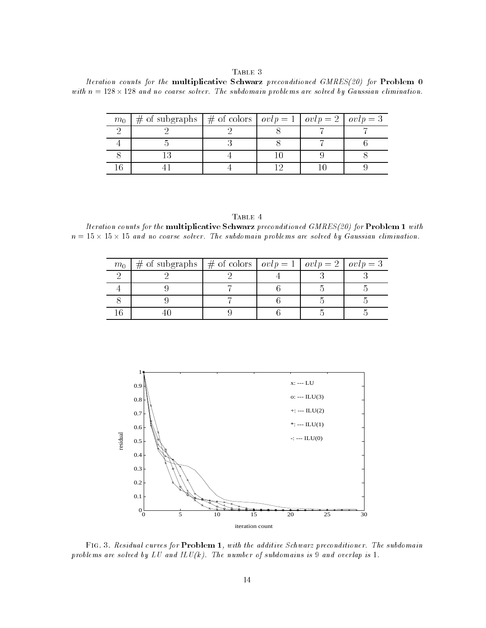# TABLE 3

Iteration counts for the multiplicative Schwarz preconditioned GMRES for Problem with n and no coarse solver The subdomain problems are solved by Gaussian elimination

| $m_0$ | # of subgraphs   # of colors $ ovlp = 1   ovlp = 2   ovlp = 3$ |  |  |
|-------|----------------------------------------------------------------|--|--|
|       |                                                                |  |  |
|       |                                                                |  |  |
|       |                                                                |  |  |
|       |                                                                |  |  |

| D      |   |  |
|--------|---|--|
| י<br>ı | ш |  |

Iteration counts for the multiplicative Schwarz preconditioned GMRES for Problem - with n and no coarse solver the subdomaint problems are subdomained by Gaussian elimination are subdomainted by Gaus

| m <sub>0</sub> | # of subgraphs   # of colors   $ovlp = 1$   $ovlp = 2$   $ovlp = 3$ |  |  |
|----------------|---------------------------------------------------------------------|--|--|
|                |                                                                     |  |  |
|                |                                                                     |  |  |
|                |                                                                     |  |  |
|                |                                                                     |  |  |



FIG. 5. Kesiauai curves for **Problem 1**, with the agaitive Schwarz preconditioner. The subdomain problems are solved by LU and ILU k The number of subdomains is and overlap is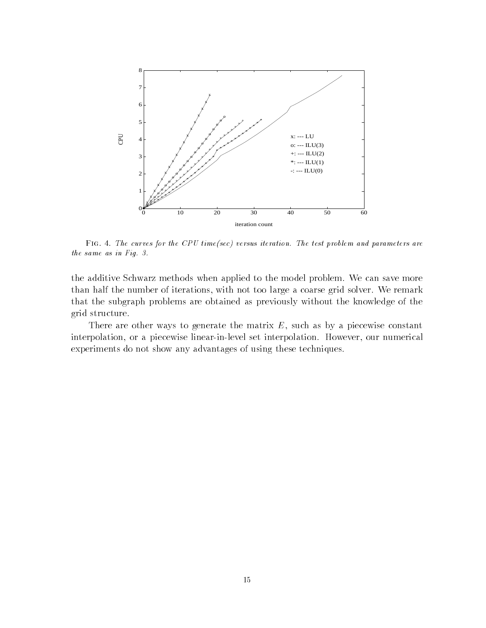

 $_{\rm F1G}$  . 4. The curves for the CPU time(sec) versus iteration. The test problem and parameters are the same as in Fig. 3.

the additive Schwarz methods when applied to the model problem. We can save more than half the number of iterations-with not too large a coarse grid solver  $\mathcal{W}$ that the subgraph problems are obtained as previously without the knowledge of the grid structure

There are other ways to generate the matrix E- such as by a piecewise constant interpolation- or a piecewise linearinlevel set interpolation However- our numerical experiments do not show any advantages of using these techniques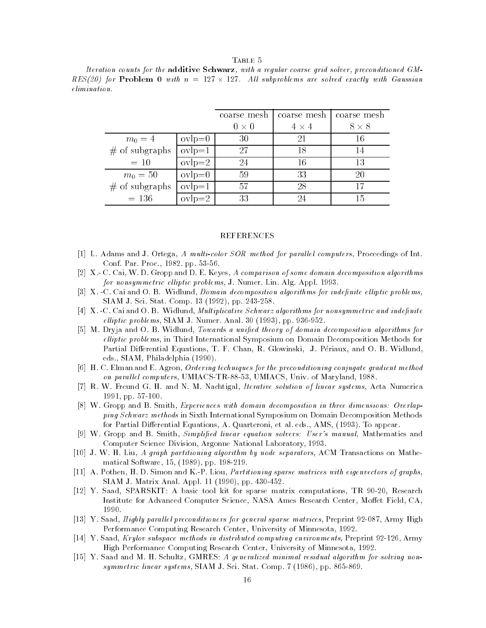## TABLE 5

Iteration counts for the additive Schwarz, with a regular coarse grid solver, preconditioned GMrestantly in commenter with n contractly with an exactly with Gaussian comments with Gaussian Comments of the elimination

|                  |          | coarse mesh | coarse mesh  | coarse mesh  |
|------------------|----------|-------------|--------------|--------------|
|                  |          | $0\times 0$ | $4 \times 4$ | $8 \times 8$ |
| $m_0 = 4$        | $ovlp=0$ | 30          | 21           | 16           |
| $#$ of subgraphs | $ovlp=1$ | 27          | 18           |              |
| $= 10$           | $ovlp=2$ | 24          | 16           | 13           |
| $m_0 = 50$       | $ovlp=0$ | 59          | 33           | 20           |
| $#$ of subgraphs | $ovlp=1$ | 57          | 28           |              |
| $= 136$          | $ovlp=2$ | 33          | 24           | 15           |

## REFERENCES

- L- Adams and J- Ortega A multicolor SOR method for paral lel computers Proceedings of Intenter and the process of the process of the process of the process of the process of the process of the process
- X- C- Cai W- D- Gropp and D- E- Keyes A comparison of some domain decomposition algorithms for nonsymmetric el liptic problems J- Numer- Lin- Alg- Appl- -
- X- C- Cai and O- B- Widlund Domain decomposition algorithms for indenite el liptic problems <u> parameter in the computed from the property of the section of the section of the section of the section of the </u>
- , and with the case of the contractive schulp in the contractive scheme of the contractive scheme for the contractive of the contract of the contract of the contract of the contract of the contract of the contract of the c elliptic problems grounds and the second of the substantial problems of the second state of the second state of the second state of the second state of the second state of the second state of the second state of the second
- M- Dryja and O- B- Widlund Towards a unied theory of domain decomposition algorithms for elliptic problems, in Third International Symposium on Domain Decomposition Methods for r die die eerste begin binne begin die begin die begin die begin het die begin die begin die begin die begin d eds- SIAM Philadelphia -
- H- C- Elman and E- Agron Ordering techniques for the preconditioning conjugate gradient method on paral lel computers UMIACSTR

 UMIACS Univ- of Maryland -
- ri was and <del>and was also was also and also and acta Numerical Iterative solution of linear and acta acta Numerica</del> ----------------
- W- Gropp and B- Smith Experiences with domain decomposition in three dimensions
 Overlap ping Schwarz methods in Sixth International Symposium on Domain Decomposition Methods for Partial Dierential Equations A- Quarteroni et al- eds- AMS - To appear-
- W- Gropp and B- Smith Simplied linear equation solvers
 Users manual Mathematics and Computer Science Division Argonne National Laboratory -
- i-al as an extra partition by node separation algorithm by node separators algorithm extension and medicine al matical Software  pp- -
- , and the simon and the simon and the state of and the sparse matrices with and the state of graphs. SIAM J- Matrix Anal- Appl-  pp- -
- Y- Saad SPARSKIT A basic tool kit for sparse matrix computations TR Research Institute for Advanced Computer Science, NASA Ames Research Center, Moffet Field, CA,
- Y- Saad Highly paral lel preconditioners for general sparse matrices Preprint 
 Army High Performance Computing Research Center University of Minnesota -
- Y- Saad Krylov subspace methods in distributed computing environments Preprint Army High Performance Computing Research Center University of Minnesota -
- Y- Saad and M- H- Schultz GMRES A generalized minimal residual algorithm for solving non systems in the system of the system of the system of the system of the system of the system of the system of the